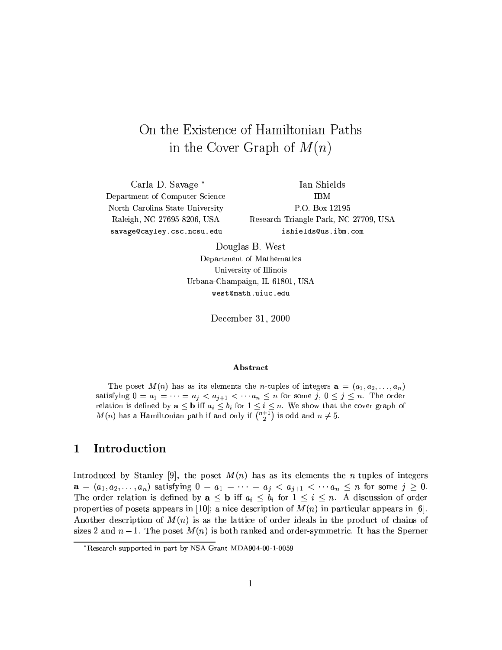# On the Existence of Hamiltonian Paths in the Cover Graph of  $M(n)$

Carla D. Savage \* Department of Computer Science North Carolina State University Raleigh, NC 27695-8206, USA savage@cayley.csc.ncsu.edu

Ian Shields **IBM** P.O. Box 12195 Research Triangle Park, NC 27709, USA ishields@us.ibm.com

Douglas B. West Department of Mathematics University of Illinois Urbana-Champaign, IL 61801, USA west@math.uiuc.edu

December 31, 2000

### **Abstract**

The poset  $M(n)$  has as its elements the *n*-tuples of integers  $a = (a_1, a_2, \ldots, a_n)$ satisfying  $0 = a_1 = \cdots = a_j < a_{j+1} < \cdots a_n \leq n$  for some  $j, 0 \leq j \leq n$ . The order relation is defined by  $\mathbf{a} \leq \mathbf{b}$  iff  $a_i \leq b_i$  for  $1 \leq i \leq n$ . We show that the cover graph of  $M(n)$  has a Hamiltonian path if and only if  $\overline{\binom{n+1}{2}}$  is odd and  $n \neq 5$ .

#### Introduction  $\mathbf 1$

Introduced by Stanley [9], the poset  $M(n)$  has as its elements the *n*-tuples of integers  $\mathbf{a} = (a_1, a_2, \ldots, a_n)$  satisfying  $0 = a_1 = \cdots = a_j < a_{j+1} < \cdots a_n \leq n$  for some  $j \geq 0$ . The order relation is defined by  $\mathbf{a} \leq \mathbf{b}$  iff  $a_i \leq b_i$  for  $1 \leq i \leq n$ . A discussion of order properties of posets appears in [10]; a nice description of  $M(n)$  in particular appears in [6]. Another description of  $M(n)$  is as the lattice of order ideals in the product of chains of sizes 2 and  $n-1$ . The poset  $M(n)$  is both ranked and order-symmetric. It has the Sperner

<sup>\*</sup>Research supported in part by NSA Grant MDA904-00-1-0059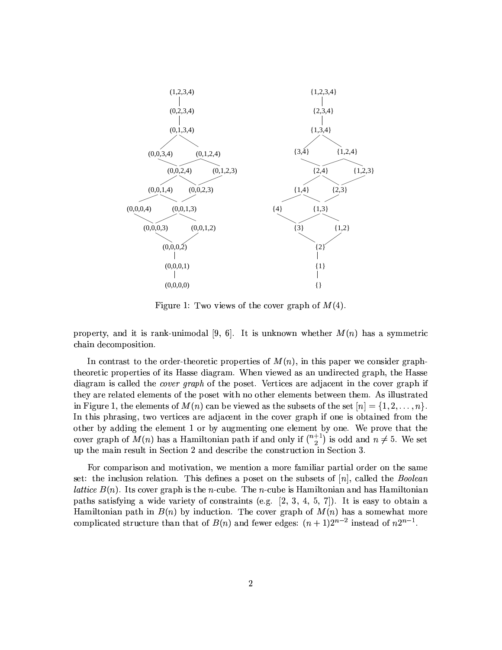

Figure 1: Two views of the cover graph of  $M(4)$ .

property, and it is rank-unimodal [9, 6]. It is unknown whether  $M(n)$  has a symmetric chain decomposition.

In contrast to the order-theoretic properties of  $M(n)$ , in this paper we consider graphtheoretic properties of its Hasse diagram. When viewed as an undirected graph, the Hasse diagram is called the *cover graph* of the poset. Vertices are adjacent in the cover graph if they are related elements of the poset with no other elements between them. As illustrated in Figure 1, the elements of  $M(n)$  can be viewed as the subsets of the set  $[n] = \{1, 2, \ldots, n\}$ . In this phrasing, two vertices are adjacent in the cover graph if one is obtained from the other by adding the element 1 or by augmenting one element by one. We prove that the cover graph of  $M(n)$  has a Hamiltonian path if and only if  $\binom{n+1}{2}$  is odd and  $n \neq 5$ . We set up the main result in Section 2 and describe the construction in Section 3.

For comparison and motivation, we mention a more familiar partial order on the same set: the inclusion relation. This defines a poset on the subsets of  $[n]$ , called the *Boolean lattice*  $B(n)$ . Its cover graph is the *n*-cube. The *n*-cube is Hamiltonian and has Hamiltonian paths satisfying a wide variety of constraints (e.g.  $[2, 3, 4, 5, 7]$ ). It is easy to obtain a Hamiltonian path in  $B(n)$  by induction. The cover graph of  $M(n)$  has a somewhat more complicated structure than that of  $B(n)$  and fewer edges:  $(n + 1)2^{n-2}$  instead of  $n2^{n-1}$ .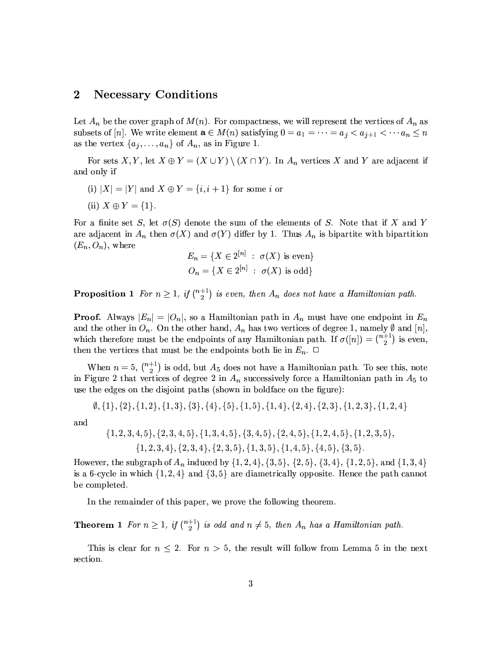#### $\bf{2}$ **Necessary Conditions**

Let  $A_n$  be the cover graph of  $M(n)$ . For compactness, we will represent the vertices of  $A_n$  as subsets of [n]. We write element  $\mathbf{a} \in M(n)$  satisfying  $0 = a_1 = \cdots = a_j < a_{j+1} < \cdots a_n \le n$ as the vertex  $\{a_1, \ldots, a_n\}$  of  $A_n$ , as in Figure 1.

For sets X, Y, let  $X \oplus Y = (X \cup Y) \setminus (X \cap Y)$ . In  $A_n$  vertices X and Y are adjacent if and only if

- (i)  $|X| = |Y|$  and  $X \oplus Y = \{i, i + 1\}$  for some i or
- (ii)  $X \oplus Y = \{1\}.$

For a finite set S, let  $\sigma(S)$  denote the sum of the elements of S. Note that if X and Y are adjacent in  $A_n$  then  $\sigma(X)$  and  $\sigma(Y)$  differ by 1. Thus  $A_n$  is bipartite with bipartition  $(E_n, O_n)$ , where

$$
E_n = \{ X \in 2^{[n]} \; : \; \sigma(X) \text{ is even} \}
$$
  

$$
O_n = \{ X \in 2^{[n]} \; : \; \sigma(X) \text{ is odd} \}
$$

**Proposition 1** For  $n \geq 1$ , if  $\binom{n+1}{2}$  is even, then  $A_n$  does not have a Hamiltonian path.

**Proof.** Always  $|E_n| = |O_n|$ , so a Hamiltonian path in  $A_n$  must have one endpoint in  $E_n$ and the other in  $O_n$ . On the other hand,  $A_n$  has two vertices of degree 1, namely  $\emptyset$  and  $[n]$ . which therefore must be the endpoints of any Hamiltonian path. If  $\sigma([n]) = \binom{n+1}{2}$  is even, then the vertices that must be the endpoints both lie in  $E_n$ .  $\Box$ 

When  $n = 5$ ,  $\binom{n+1}{2}$  is odd, but  $A_5$  does not have a Hamiltonian path. To see this, note in Figure 2 that vertices of degree 2 in  $A_n$  successively force a Hamiltonian path in  $A_5$  to use the edges on the disjoint paths (shown in boldface on the figure):

 $\emptyset$ , {1}, {2}, {1, 2}, {1, 3}, {3}, {4}, {5}, {1, 5}, {1, 4}, {2, 4}, {2, 3}, {1, 2, 3}, {1, 2, 4}

and

$$
{1, 2, 3, 4, 5}, {2, 3, 4, 5}, {1, 3, 4, 5}, {3, 4, 5}, {2, 4, 5}, {1, 2, 4, 5}, {1, 2, 3, 5}, {1, 2, 3, 4}, {2, 3, 4}, {2, 3, 5}, {1, 3, 5}, {1, 4, 5}, {4, 5}, {3, 5}.
$$

However, the subgraph of  $A_n$  induced by  $\{1, 2, 4\}$ ,  $\{3, 5\}$ ,  $\{2, 5\}$ ,  $\{3, 4\}$ ,  $\{1, 2, 5\}$ , and  $\{1, 3, 4\}$ is a 6-cycle in which  $\{1,2,4\}$  and  $\{3,5\}$  are diametrically opposite. Hence the path cannot be completed.

In the remainder of this paper, we prove the following theorem.

**Theorem 1** For  $n \geq 1$ , if  $\binom{n+1}{2}$  is odd and  $n \neq 5$ , then  $A_n$  has a Hamiltonian path.

This is clear for  $n \leq 2$ . For  $n > 5$ , the result will follow from Lemma 5 in the next section.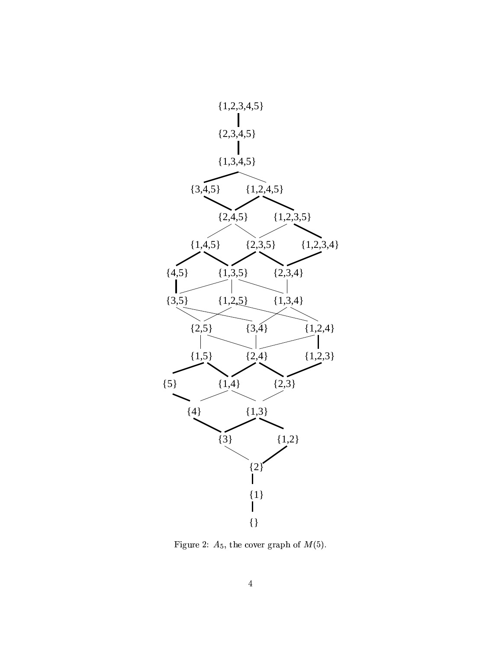

Figure 2:  $A_5$ , the cover graph of  $M(5)$ .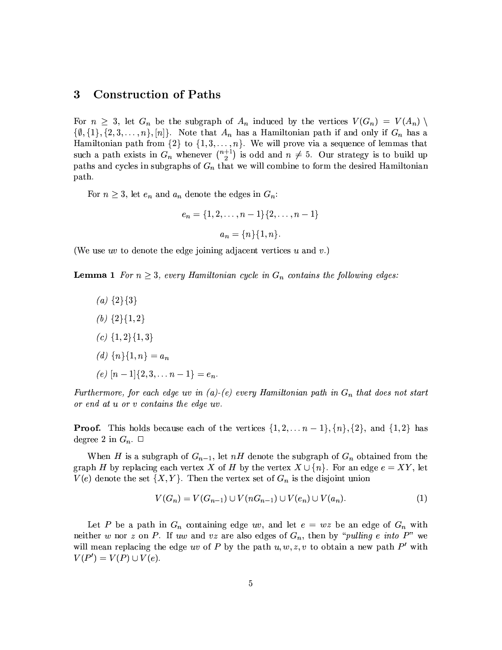#### 3 **Construction of Paths**

For  $n \geq 3$ , let  $G_n$  be the subgraph of  $A_n$  induced by the vertices  $V(G_n) = V(A_n)$  $\{\emptyset, \{1\}, \{2, 3, \ldots, n\}, [n]\}.$  Note that  $A_n$  has a Hamiltonian path if and only if  $G_n$  has a Hamiltonian path from  $\{2\}$  to  $\{1, 3, ..., n\}$ . We will prove via a sequence of lemmas that such a path exists in  $G_n$  whenever  $\binom{n+1}{2}$  is odd and  $n \neq 5$ . Our strategy is to build up paths and cycles in subgraphs of  $G_n$  that we will combine to form the desired Hamiltonian path.

For  $n \geq 3$ , let  $e_n$  and  $a_n$  denote the edges in  $G_n$ :

$$
e_n = \{1, 2, \dots, n-1\} \{2, \dots, n-1\}
$$

$$
a_n = \{n\} \{1, n\}.
$$

(We use uv to denote the edge joining adjacent vertices u and v.)

**Lemma 1** For  $n \geq 3$ , every Hamiltonian cycle in  $G_n$  contains the following edges:

(a)  $\{2\}\{3\}$ (b)  $\{2\}\{1,2\}$ (c)  $\{1,2\}\{1,3\}$ (d)  $\{n\}\{1,n\} = a_n$ (e)  $[n-1]\{2,3,\ldots n-1\}=e_n$ 

Furthermore, for each edge uv in (a)-(e) every Hamiltonian path in  $G_n$  that does not start or end at u or v contains the edge uv.

**Proof.** This holds because each of the vertices  $\{1, 2, ..., n-1\}, \{n\}, \{2\}, \text{ and } \{1, 2\}$  has degree 2 in  $G_n$ .  $\square$ 

When H is a subgraph of  $G_{n-1}$ , let nH denote the subgraph of  $G_n$  obtained from the graph H by replacing each vertex X of H by the vertex  $X \cup \{n\}$ . For an edge  $e = XY$ , let  $V(e)$  denote the set  $\{X,Y\}$ . Then the vertex set of  $G_n$  is the disjoint union

$$
V(G_n) = V(G_{n-1}) \cup V(nG_{n-1}) \cup V(e_n) \cup V(a_n). \tag{1}
$$

Let P be a path in  $G_n$  containing edge uv, and let  $e = wz$  be an edge of  $G_n$  with neither w nor z on P. If uw and vz are also edges of  $G_n$ , then by "pulling e into P" we will mean replacing the edge uv of P by the path  $u, w, z, v$  to obtain a new path P' with  $V(P') = V(P) \cup V(e).$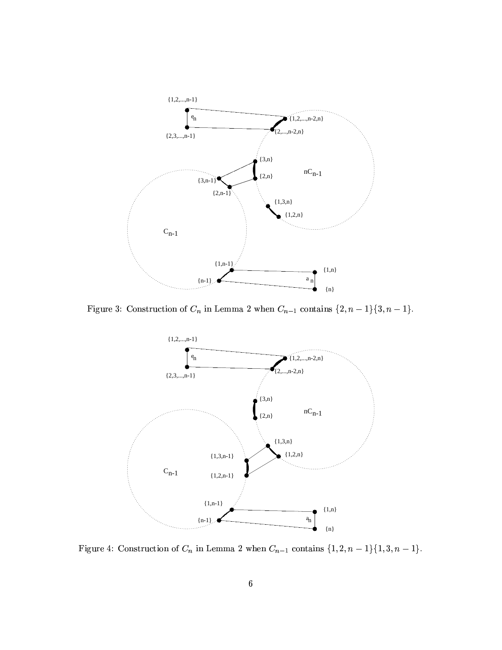

Figure 3: Construction of  $C_n$  in Lemma 2 when  $C_{n-1}$  contains  $\{2, n-1\}\{3, n-1\}$ .



Figure 4: Construction of  $C_n$  in Lemma 2 when  $C_{n-1}$  contains  $\{1, 2, n-1\}\{1, 3, n-1\}$ .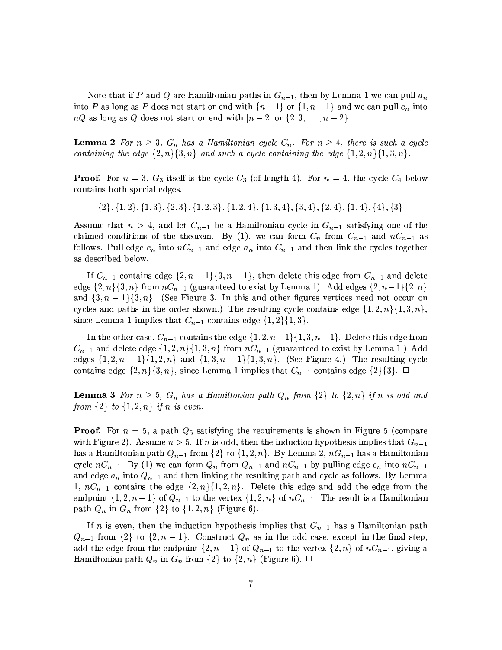Note that if P and Q are Hamiltonian paths in  $G_{n-1}$ , then by Lemma 1 we can pull  $a_n$ into P as long as P does not start or end with  $\{n-1\}$  or  $\{1,n-1\}$  and we can pull  $e_n$  into  $nQ$  as long as Q does not start or end with  $[n-2]$  or  $\{2,3,\ldots,n-2\}$ .

**Lemma 2** For  $n \geq 3$ ,  $G_n$  has a Hamiltonian cycle  $C_n$ . For  $n \geq 4$ , there is such a cycle containing the edge  $\{2, n\}$ ,  $\{3, n\}$  and such a cycle containing the edge  $\{1, 2, n\}$ ,  $\{1, 3, n\}$ .

**Proof.** For  $n = 3$ ,  $G_3$  itself is the cycle  $C_3$  (of length 4). For  $n = 4$ , the cycle  $C_4$  below contains both special edges.

 $\{2\}, \{1, 2\}, \{1, 3\}, \{2, 3\}, \{1, 2, 3\}, \{1, 2, 4\}, \{1, 3, 4\}, \{3, 4\}, \{2, 4\}, \{1, 4\}, \{4\}, \{3\}$ 

Assume that  $n > 4$ , and let  $C_{n-1}$  be a Hamiltonian cycle in  $G_{n-1}$  satisfying one of the claimed conditions of the theorem. By (1), we can form  $C_n$  from  $C_{n-1}$  and  $nC_{n-1}$  as follows. Pull edge  $e_n$  into  $nC_{n-1}$  and edge  $a_n$  into  $C_{n-1}$  and then link the cycles together as described below.

If  $C_{n-1}$  contains edge  $\{2, n-1\}\{3, n-1\}$ , then delete this edge from  $C_{n-1}$  and delete edge  $\{2, n\}\{3, n\}$  from  $nC_{n-1}$  (guaranteed to exist by Lemma 1). Add edges  $\{2, n-1\}\{2, n\}$ and  $\{3, n-1\}\{3, n\}$ . (See Figure 3. In this and other figures vertices need not occur on cycles and paths in the order shown.) The resulting cycle contains edge  $\{1,2,n\}\{1,3,n\}$ , since Lemma 1 implies that  $C_{n-1}$  contains edge  $\{1,2\}\{1,3\}.$ 

In the other case,  $C_{n-1}$  contains the edge  $\{1, 2, n-1\}$ ,  $\{1, 3, n-1\}$ . Delete this edge from  $C_{n-1}$  and delete edge  $\{1,2,n\}\{1,3,n\}$  from  $nC_{n-1}$  (guaranteed to exist by Lemma 1.) Add edges  $\{1, 2, n-1\}$  $\{1, 2, n\}$  and  $\{1, 3, n-1\}$  $\{1, 3, n\}$ . (See Figure 4.) The resulting cycle contains edge  $\{2, n\}\{3, n\}$ , since Lemma 1 implies that  $C_{n-1}$  contains edge  $\{2\}\{3\}$ .  $\Box$ 

**Lemma 3** For  $n \geq 5$ ,  $G_n$  has a Hamiltonian path  $Q_n$  from  $\{2\}$  to  $\{2,n\}$  if n is odd and from  $\{2\}$  to  $\{1, 2, n\}$  if n is even.

**Proof.** For  $n = 5$ , a path  $Q_5$  satisfying the requirements is shown in Figure 5 (compare with Figure 2). Assume  $n > 5$ . If n is odd, then the induction hypothesis implies that  $G_{n-1}$ has a Hamiltonian path  $Q_{n-1}$  from  $\{2\}$  to  $\{1, 2, n\}$ . By Lemma 2,  $nG_{n-1}$  has a Hamiltonian cycle  $nC_{n-1}$ . By (1) we can form  $Q_n$  from  $Q_{n-1}$  and  $nC_{n-1}$  by pulling edge  $e_n$  into  $nC_{n-1}$ and edge  $a_n$  into  $Q_{n-1}$  and then linking the resulting path and cycle as follows. By Lemma 1,  $nC_{n-1}$  contains the edge  $\{2, n\}\{1, 2, n\}$ . Delete this edge and add the edge from the endpoint  $\{1, 2, n-1\}$  of  $Q_{n-1}$  to the vertex  $\{1, 2, n\}$  of  $nC_{n-1}$ . The result is a Hamiltonian path  $Q_n$  in  $G_n$  from  $\{2\}$  to  $\{1, 2, n\}$  (Figure 6).

If n is even, then the induction hypothesis implies that  $G_{n-1}$  has a Hamiltonian path  $Q_{n-1}$  from  $\{2\}$  to  $\{2, n-1\}$ . Construct  $Q_n$  as in the odd case, except in the final step. add the edge from the endpoint  $\{2, n-1\}$  of  $Q_{n-1}$  to the vertex  $\{2, n\}$  of  $nC_{n-1}$ , giving a Hamiltonian path  $Q_n$  in  $G_n$  from  $\{2\}$  to  $\{2,n\}$  (Figure 6).  $\Box$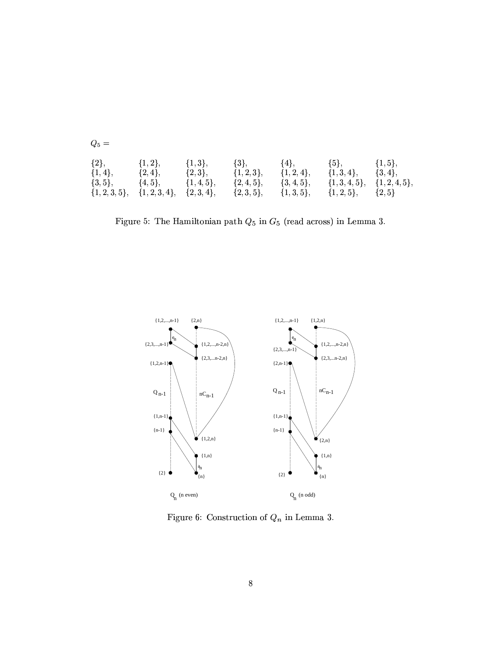| $Q_5 =$      |                                        |               |               |               |                                            |             |  |  |  |  |
|--------------|----------------------------------------|---------------|---------------|---------------|--------------------------------------------|-------------|--|--|--|--|
| $\{2\},\$    | $\{1,2\},\$                            | $\{1,3\},\$   | $\{3\},\$     | $\{4\},\$     | $\{5\},\,$                                 | $\{1,5\},\$ |  |  |  |  |
| $\{1,4\},\$  | $\{2,4\},\$                            | $\{2,3\},\$   | $\{1,2,3\},\$ | $\{1,2,4\},\$ | $\{1,3,4\},\$                              | $\{3,4\},\$ |  |  |  |  |
| $\{3, 5\},\$ | $\{4,5\},\$                            | $\{1,4,5\},\$ | $\{2,4,5\},\$ | $\{3,4,5\},\$ | $\{1,3,4,5\}, \{1,2,4,5\},$                |             |  |  |  |  |
|              | $\{1,2,3,5\}, \{1,2,3,4\}, \{2,3,4\},$ |               |               |               | $\{2,3,5\}, \{1,3,5\}, \{1,2,5\}, \{2,5\}$ |             |  |  |  |  |

Figure 5: The Hamiltonian path  $Q_5$  in  ${\cal G}_5$  (read across) in Lemma 3.



Figure 6: Construction of  $Q_n$  in Lemma 3.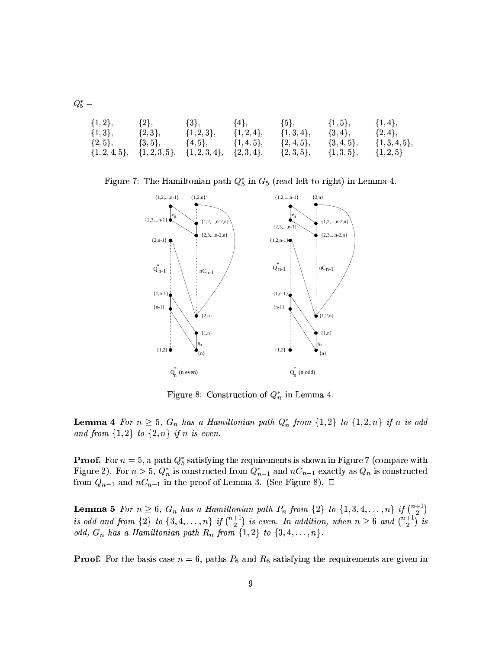$\begin{array}{c} \{3\}, \\ \{1,2,3\}, \end{array}$  $\{1,2\},\$  $\{2\},\\ \{2,3\},$  $\{4\},$ <br>{1,2,4},  $\{5\}, \{1,3,4\},$  $\{1,5\},$  $\{1,4\},\$  ${1,3},$  ${3, 4},$  ${2, 4},$  $\{2, 4, 5\},\$  ${1, 4, 5},$  ${3, 4, 5},$  ${1, 3, 4, 5},$  $\{2, 5\},\$  $\{3, 5\},\$  $\{4, 5\},\$  ${2,3,4},$  ${2, 3, 5},$  $\{1, 2, 4, 5\},\$  ${1, 2, 3, 5},$  ${1, 2, 3, 4},$  ${1, 3, 5},$  ${1, 2, 5}$ 

 $Q_5^* =$ 

Figure 7: The Hamiltonian path  $Q_5^*$  in  $G_5$  (read left to right) in Lemma 4.



Figure 8: Construction of  $Q_n^*$  in Lemma 4.

**Lemma 4** For  $n \geq 5$ ,  $G_n$  has a Hamiltonian path  $Q_n^*$  from  $\{1,2\}$  to  $\{1,2,n\}$  if n is odd and from  $\{1,2\}$  to  $\{2,n\}$  if n is even.

**Proof.** For  $n = 5$ , a path  $Q_5^*$  satisfying the requirements is shown in Figure 7 (compare with Figure 2). For  $n > 5$ ,  $Q_n^*$  is constructed from  $Q_{n-1}^*$  and  $nC_{n-1}$  exactly as  $Q_n$  is constructed from  $Q_{n-1}$  and  $nC_{n-1}$  in the proof of Lemma 3. (See Figure 8).  $\Box$ 

**Lemma 5** For  $n \ge 6$ ,  $G_n$  has a Hamiltonian path  $P_n$  from  $\{2\}$  to  $\{1, 3, 4, ..., n\}$  if  $\binom{n+1}{2}$  is odd and from  $\{2\}$  to  $\{3, 4, ..., n\}$  if  $\binom{n+1}{2}$  is even. In addition, when  $n \ge 6$  and  $\binom{n+1}{2}$  is odd,  $G_n$  has a Hamiltonian path  $R_n$  from  $\{1,2\}$  to  $\{3,4,\ldots,n\}$ .

**Proof.** For the basis case  $n = 6$ , paths  $P_6$  and  $R_6$  satisfying the requirements are given in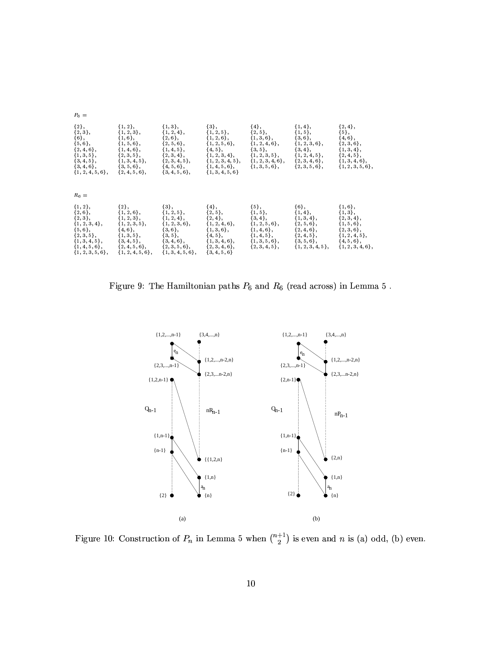| $P_6 =$                                                                                                                                                     |                                                                                                                                                                      |                                                                                                                                                                |                                                                                                                                                                    |                                                                                                                                                 |                                                                                                                                          |                                                                                                                                      |  |  |  |
|-------------------------------------------------------------------------------------------------------------------------------------------------------------|----------------------------------------------------------------------------------------------------------------------------------------------------------------------|----------------------------------------------------------------------------------------------------------------------------------------------------------------|--------------------------------------------------------------------------------------------------------------------------------------------------------------------|-------------------------------------------------------------------------------------------------------------------------------------------------|------------------------------------------------------------------------------------------------------------------------------------------|--------------------------------------------------------------------------------------------------------------------------------------|--|--|--|
| ${2},$<br>${2,3},$<br>${6},$<br>$\{5,6\},\$<br>$\{2, 4, 6\},\$<br>${1, 3, 5},$<br>${3, 4, 5},$<br>$\{3, 4, 6\},\$<br>${1, 2, 4, 5, 6},$                     | ${1, 2},$<br>${1, 2, 3},$<br>${1, 6},$<br>${1, 5, 6},$<br>${1, 4, 6},$<br>${2, 3, 5},$<br>$\{1, 3, 4, 5\},\$<br>$\{3, 5, 6\}$ ,<br>$\{2, 4, 5, 6\}$ ,                | ${1,3},$<br>${1, 2, 4},$<br>$\{2,6\},\$<br>${2, 5, 6},$<br>${1, 4, 5},$<br>${2, 3, 4},$<br>$\{2,3,4,5\},\$<br>$\{4, 5, 6\}$ ,<br>$\{3, 4, 5, 6\},\$            | $\{3\},$<br>${1, 2, 5},$<br>$\{1, 2, 6\},\$<br>$\{1, 2, 5, 6\},\$<br>${4, 5},$<br>${1, 2, 3, 4},$<br>${1, 2, 3, 4, 5},$<br>$\{1, 4, 5, 6\}$<br>$\{1, 3, 4, 5, 6\}$ | $\{4\},\$<br>${2, 5},$<br>${1, 3, 6},$<br>$\{1, 2, 4, 6\},\$<br>$\{3, 5\},\$<br>$\{1, 2, 3, 5\},\$<br>$\{1, 2, 3, 4, 6\},\$<br>$\{1, 3, 5, 6\}$ | ${1, 4},$<br>${1, 5},$<br>$\{3,6\},\$<br>$\{1, 2, 3, 6\},\$<br>$\{3, 4\},\$<br>${1, 2, 4, 5},$<br>$\{2,3,4,6\},\$<br>$\{2, 3, 5, 6\}$ ,  | ${2, 4},$<br>${5},$<br>${4, 6},$<br>${2, 3, 6},$<br>${1, 3, 4},$<br>${2, 4, 5},$<br>$\{1, 3, 4, 6\},\$<br>${1, 2, 3, 5, 6},$         |  |  |  |
| $R_6 =$                                                                                                                                                     |                                                                                                                                                                      |                                                                                                                                                                |                                                                                                                                                                    |                                                                                                                                                 |                                                                                                                                          |                                                                                                                                      |  |  |  |
| ${1, 2},$<br>$\{2,6\},\$<br>${2,3}$ ,<br>${1, 2, 3, 4},$<br>$\{5,6\},\$<br>$\{2,3,5\}$ ,<br>$\{1, 3, 4, 5\},\$<br>$\{1, 4, 5, 6\},\$<br>$\{1, 2, 3, 5, 6\}$ | ${2},$<br>$\{1, 2, 6\},\$<br>${1, 2, 3},$<br>$\{1, 2, 3, 5\},\$<br>$\{4, 6\},\$<br>$\{1, 3, 5\},\$<br>$\{3, 4, 5\},\$<br>$\{2, 4, 5, 6\}$ ,<br>$\{1, 2, 4, 5, 6\},\$ | $\{3\},\$<br>${1, 2, 5},$<br>${1, 2, 4},$<br>$\{1, 2, 3, 6\},\$<br>$\{3, 6\}$ ,<br>$\{3, 5\},\$<br>${3, 4, 6},$<br>$\{2, 3, 5, 6\}$ ,<br>$\{1, 3, 4, 5, 6\}$ , | ${4},$<br>${2, 5},$<br>${2, 4},$<br>${1, 2, 4, 6},$<br>$\{1, 3, 6\},\$<br>$\{4, 5\},\$<br>$\{1, 3, 4, 6\},\$<br>$\{2, 3, 4, 6\},\$<br>$\{3, 4, 5, 6\}$             | $\{5\},\$<br>${1, 5},$<br>${3, 4},$<br>$\{1, 2, 5, 6\},\$<br>$\{1, 4, 6\},\$<br>$\{1, 4, 5\},\$<br>$\{1, 3, 5, 6\}$ ,<br>$\{2, 3, 4, 5\}$ ,     | ${6},$<br>${1, 4},$<br>${1, 3, 4},$<br>$\{2, 5, 6\},\$<br>$\{2, 4, 6\},\$<br>$\{2, 4, 5\},\$<br>$\{3, 5, 6\}$ ,<br>$\{1, 2, 3, 4, 5\},\$ | ${1, 6},$<br>${1,3},$<br>${2, 3, 4},$<br>${1, 5, 6},$<br>$\{2, 3, 6\},\$<br>${1, 2, 4, 5},$<br>$\{4, 5, 6\},\$<br>${1, 2, 3, 4, 6},$ |  |  |  |

Figure 9: The Hamiltonian paths  $P_6$  and  $R_6$  (read across) in Lemma  $5$  .



Figure 10: Construction of  $P_n$  in Lemma 5 when  $\binom{n+1}{2}$  is even and n is (a) odd, (b) even.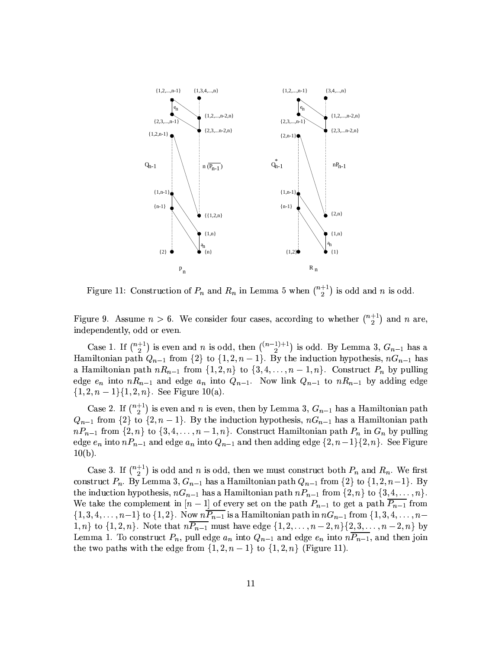

Figure 11: Construction of  $P_n$  and  $R_n$  in Lemma 5 when  $\binom{n+1}{2}$  is odd and n is odd.

Figure 9. Assume  $n > 6$ . We consider four cases, according to whether  $\binom{n+1}{2}$  and n are, independently, odd or eyen.

Case 1. If  $\binom{n+1}{2}$  is even and *n* is odd, then  $\binom{(n-1)+1}{2}$  is odd. By Lemma 3,  $G_{n-1}$  has a Hamiltonian path  $Q_{n-1}$  from  $\{2\}$  to  $\{1, 2, n-1\}$ . By the induction hypothesis,  $nG_{n-1}$  has a Hamiltonian path  $nR_{n-1}$  from  $\{1,2,n\}$  to  $\{3,4,\ldots,n-1,n\}$ . Construct  $P_n$  by pulling edge  $e_n$  into  $nR_{n-1}$  and edge  $a_n$  into  $Q_{n-1}$ . Now link  $Q_{n-1}$  to  $nR_{n-1}$  by adding edge  $\{1, 2, n-1\}$ {1, 2, n}. See Figure 10(a).

Case 2. If  $\binom{n+1}{2}$  is even and *n* is even, then by Lemma 3,  $G_{n-1}$  has a Hamiltonian path  $Q_{n-1}$  from  $\{2\}$  to  $\{2, n-1\}$ . By the induction hypothesis,  $nG_{n-1}$  has a Hamiltonian path  $nP_{n-1}$  from  $\{2,n\}$  to  $\{3,4,\ldots,n-1,n\}$ . Construct Hamiltonian path  $P_n$  in  $G_n$  by pulling edge  $e_n$  into  $nP_{n-1}$  and edge  $a_n$  into  $Q_{n-1}$  and then adding edge  $\{2, n-1\}$  $\{2, n\}$ . See Figure  $10(b).$ 

Case 3. If  $\binom{n+1}{2}$  is odd and n is odd, then we must construct both  $P_n$  and  $R_n$ . We first construct  $P_n$ . By Lemma 3,  $G_{n-1}$  has a Hamiltonian path  $Q_{n-1}$  from  $\{2\}$  to  $\{1, 2, n-1\}$ . By the induction hypothesis,  $nG_{n-1}$  has a Hamiltonian path  $nP_{n-1}$  from  $\{2, n\}$  to  $\{3, 4, ..., n\}$ . We take the complement in  $[n-1]$  of every set on the path  $P_{n-1}$  to get a path  $P_{n-1}$  from  $\{1,3,4,\ldots,n-1\}$  to  $\{1,2\}$ . Now  $n\overline{P_{n-1}}$  is a Hamiltonian path in  $nG_{n-1}$  from  $\{1,3,4,\ldots,n-1\}$  $1, n\}$  to  $\{1, 2, n\}$ . Note that  $n\overline{P_{n-1}}$  must have edge  $\{1, 2, ..., n-2, n\}$   $\{2, 3, ..., n-2, n\}$  by Lemma 1. To construct  $P_n$ , pull edge  $a_n$  into  $Q_{n-1}$  and edge  $e_n$  into  $n\overline{P_{n-1}}$ , and then join the two paths with the edge from  $\{1, 2, n-1\}$  to  $\{1, 2, n\}$  (Figure 11).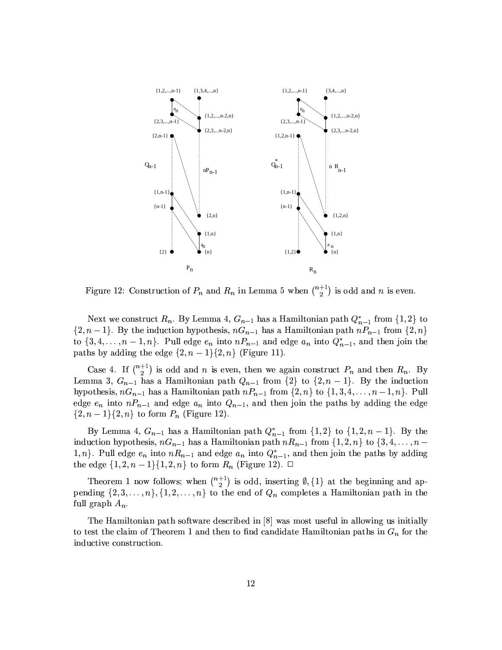

Figure 12: Construction of  $P_n$  and  $R_n$  in Lemma 5 when  $\binom{n+1}{2}$  is odd and n is even.

Next we construct  $R_n$ . By Lemma 4,  $G_{n-1}$  has a Hamiltonian path  $Q_{n-1}^*$  from  $\{1,2\}$  to  $\{2, n-1\}$ . By the induction hypothesis,  $nG_{n-1}$  has a Hamiltonian path  $nP_{n-1}$  from  $\{2, n\}$ to  $\{3, 4, \ldots, n-1, n\}$ . Pull edge  $e_n$  into  $nP_{n-1}$  and edge  $a_n$  into  $Q_{n-1}^*$ , and then join the paths by adding the edge  $\{2, n-1\}$  $\{2, n\}$  (Figure 11).

Case 4. If  $\binom{n+1}{2}$  is odd and *n* is even, then we again construct  $P_n$  and then  $R_n$ . By Lemma 3,  $G_{n-1}$  has a Hamiltonian path  $Q_{n-1}$  from  $\{2\}$  to  $\{2, n-1\}$ . By the induction hypothesis,  $nG_{n-1}$  has a Hamiltonian path  $nP_{n-1}$  from  $\{2,n\}$  to  $\{1,3,4,\ldots,n-1,n\}$ . Pull edge  $e_n$  into  $nP_{n-1}$  and edge  $a_n$  into  $Q_{n-1}$ , and then join the paths by adding the edge  $\{2, n-1\}\{2, n\}$  to form  $P_n$  (Figure 12).

By Lemma 4,  $G_{n-1}$  has a Hamiltonian path  $Q_{n-1}^*$  from  $\{1,2\}$  to  $\{1,2,n-1\}$ . By the induction hypothesis,  $nG_{n-1}$  has a Hamiltonian path  $nR_{n-1}$  from  $\{1,2,n\}$  to  $\{3,4,\ldots,n-1\}$ 1, n}. Pull edge  $e_n$  into  $nR_{n-1}$  and edge  $a_n$  into  $Q_{n-1}^*$ , and then join the paths by adding the edge  $\{1, 2, n-1\}\{1, 2, n\}$  to form  $R_n$  (Figure 12).  $\Box$ 

Theorem 1 now follows; when  $\binom{n+1}{2}$  is odd, inserting  $\emptyset$ ,  $\{1\}$  at the beginning and appending  $\{2,3,\ldots,n\}$ ,  $\{1,2,\ldots,n\}$  to the end of  $Q_n$  completes a Hamiltonian path in the full graph  $A_n$ .

The Hamiltonian path software described in [8] was most useful in allowing us initially to test the claim of Theorem 1 and then to find candidate Hamiltonian paths in  $G_n$  for the inductive construction.